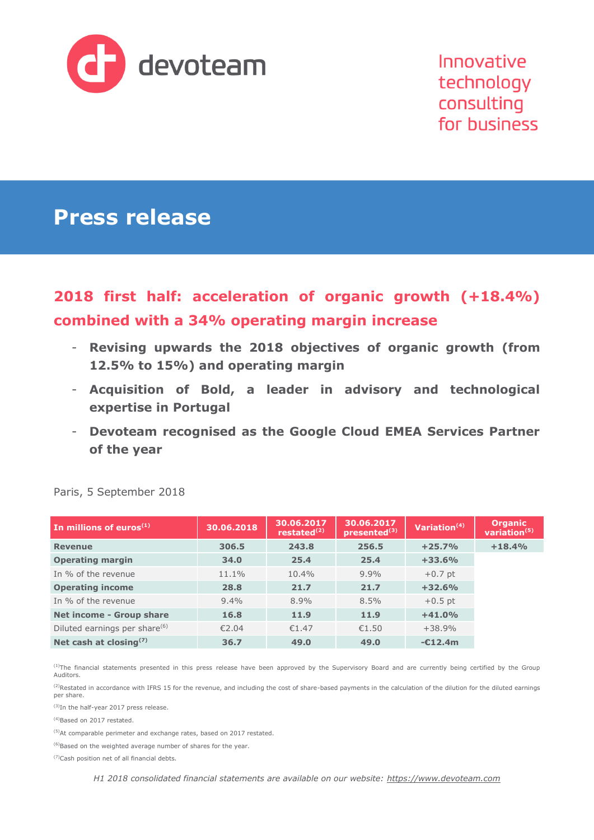

Innovative technology consulting for business

# **Press release**

# **2018 first half: acceleration of organic growth (+18.4%) combined with a 34% operating margin increase**

- **Revising upwards the 2018 objectives of organic growth (from 12.5% to 15%) and operating margin**
- **Acquisition of Bold, a leader in advisory and technological expertise in Portugal**
- **Devoteam recognised as the Google Cloud EMEA Services Partner of the year**

| In millions of euros $(1)$                | 30.06.2018 | 30.06.2017<br>restated $(2)$ | 30.06.2017<br>presented <sup>(3)</sup> | Variation $(4)$ | <b>Organic</b><br>variation <sup>(5)</sup> |
|-------------------------------------------|------------|------------------------------|----------------------------------------|-----------------|--------------------------------------------|
| <b>Revenue</b>                            | 306.5      | 243.8                        | 256.5                                  | $+25.7%$        | $+18.4%$                                   |
| <b>Operating margin</b>                   | 34.0       | 25.4                         | 25.4                                   | $+33.6%$        |                                            |
| In % of the revenue                       | 11.1%      | 10.4%                        | $9.9\%$                                | $+0.7$ pt       |                                            |
| <b>Operating income</b>                   | 28.8       | 21.7                         | 21.7                                   | $+32.6%$        |                                            |
| In % of the revenue                       | $9.4\%$    | 8.9%                         | 8.5%                                   | $+0.5$ pt       |                                            |
| Net income - Group share                  | 16.8       | 11.9                         | 11.9                                   | $+41.0%$        |                                            |
| Diluted earnings per share <sup>(6)</sup> | €2.04      | €1.47                        | €1.50                                  | $+38.9%$        |                                            |
| Net cash at closing $(7)$                 | 36.7       | 49.0                         | 49.0                                   | $-$ £12.4m      |                                            |

### Paris, 5 September 2018

<sup>(1)</sup>The financial statements presented in this press release have been approved by the Supervisory Board and are currently being certified by the Group Auditors.

 $^{(2)}$ Restated in accordance with IFRS 15 for the revenue, and including the cost of share-based payments in the calculation of the dilution for the diluted earnings per share.

(3)In the half-year 2017 press release.

(4)Based on 2017 restated.

<sup>(5)</sup>At comparable perimeter and exchange rates, based on 2017 restated.

(6)Based on the weighted average number of shares for the year.

(7)Cash position net of all financial debts.

*H1 2018 consolidated financial statements are available on our website: [https://www.devoteam.com](https://www.devoteam.com/)*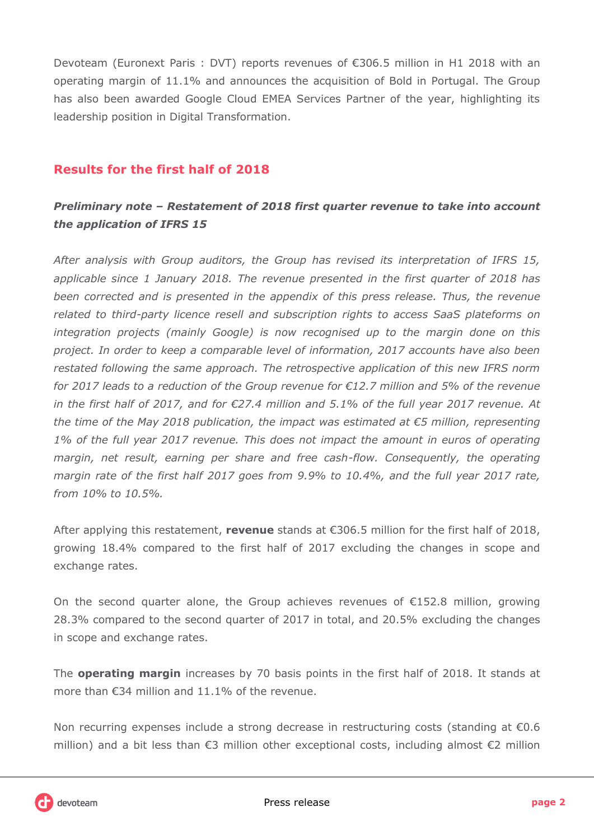Devoteam (Euronext Paris : DVT) reports revenues of €306.5 million in H1 2018 with an operating margin of 11.1% and announces the acquisition of Bold in Portugal. The Group has also been awarded Google Cloud EMEA Services Partner of the year, highlighting its leadership position in Digital Transformation.

## **Results for the first half of 2018**

## *Preliminary note – Restatement of 2018 first quarter revenue to take into account the application of IFRS 15*

*After analysis with Group auditors, the Group has revised its interpretation of IFRS 15, applicable since 1 January 2018. The revenue presented in the first quarter of 2018 has been corrected and is presented in the appendix of this press release. Thus, the revenue related to third-party licence resell and subscription rights to access SaaS plateforms on integration projects (mainly Google) is now recognised up to the margin done on this project. In order to keep a comparable level of information, 2017 accounts have also been restated following the same approach. The retrospective application of this new IFRS norm for 2017 leads to a reduction of the Group revenue for €12.7 million and 5% of the revenue in the first half of 2017, and for €27.4 million and 5.1% of the full year 2017 revenue. At the time of the May 2018 publication, the impact was estimated at €5 million, representing 1% of the full year 2017 revenue. This does not impact the amount in euros of operating margin, net result, earning per share and free cash-flow. Consequently, the operating margin rate of the first half 2017 goes from 9.9% to 10.4%, and the full year 2017 rate, from 10% to 10.5%.*

After applying this restatement, **revenue** stands at €306.5 million for the first half of 2018, growing 18.4% compared to the first half of 2017 excluding the changes in scope and exchange rates.

On the second quarter alone, the Group achieves revenues of  $E152.8$  million, growing 28.3% compared to the second quarter of 2017 in total, and 20.5% excluding the changes in scope and exchange rates.

The **operating margin** increases by 70 basis points in the first half of 2018. It stands at more than €34 million and 11.1% of the revenue.

Non recurring expenses include a strong decrease in restructuring costs (standing at  $\epsilon$ 0.6 million) and a bit less than  $\epsilon$ 3 million other exceptional costs, including almost  $\epsilon$ 2 million

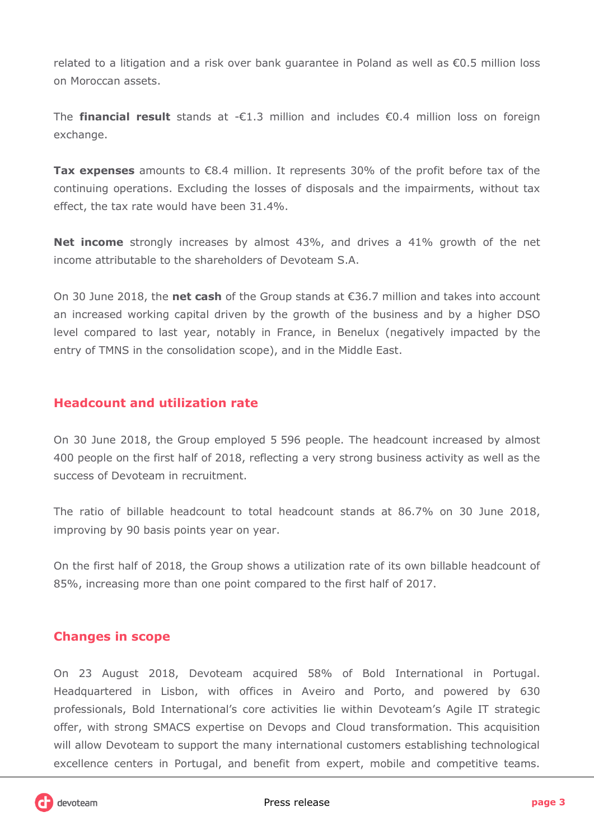related to a litigation and a risk over bank guarantee in Poland as well as €0.5 million loss on Moroccan assets.

The **financial result** stands at -€1.3 million and includes €0.4 million loss on foreign exchange.

**Tax expenses** amounts to €8.4 million. It represents 30% of the profit before tax of the continuing operations. Excluding the losses of disposals and the impairments, without tax effect, the tax rate would have been 31.4%.

**Net income** strongly increases by almost 43%, and drives a 41% growth of the net income attributable to the shareholders of Devoteam S.A.

On 30 June 2018, the **net cash** of the Group stands at €36.7 million and takes into account an increased working capital driven by the growth of the business and by a higher DSO level compared to last year, notably in France, in Benelux (negatively impacted by the entry of TMNS in the consolidation scope), and in the Middle East.

## **Headcount and utilization rate**

On 30 June 2018, the Group employed 5 596 people. The headcount increased by almost 400 people on the first half of 2018, reflecting a very strong business activity as well as the success of Devoteam in recruitment.

The ratio of billable headcount to total headcount stands at 86.7% on 30 June 2018, improving by 90 basis points year on year.

On the first half of 2018, the Group shows a utilization rate of its own billable headcount of 85%, increasing more than one point compared to the first half of 2017.

### **Changes in scope**

On 23 August 2018, Devoteam acquired 58% of Bold International in Portugal. Headquartered in Lisbon, with offices in Aveiro and Porto, and powered by 630 professionals, Bold International's core activities lie within Devoteam's Agile IT strategic offer, with strong SMACS expertise on Devops and Cloud transformation. This acquisition will allow Devoteam to support the many international customers establishing technological excellence centers in Portugal, and benefit from expert, mobile and competitive teams.

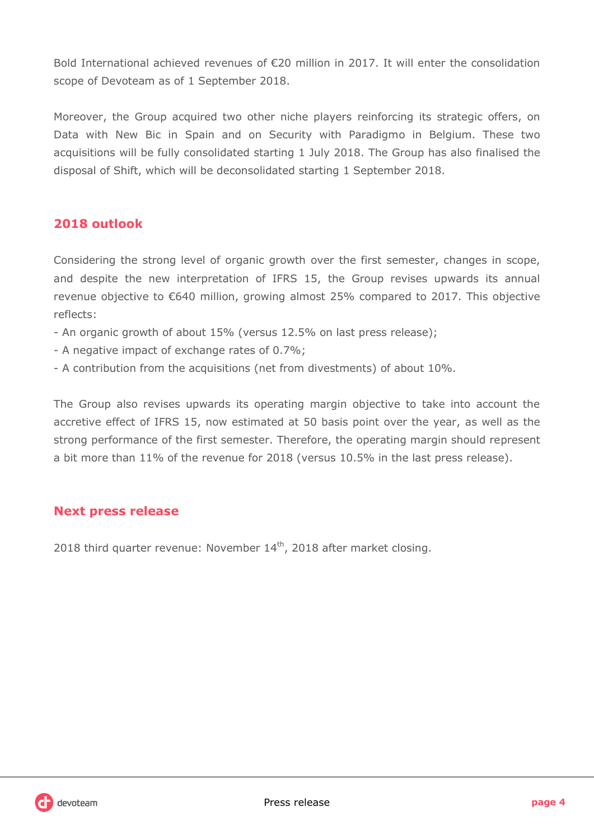Bold International achieved revenues of €20 million in 2017. It will enter the consolidation scope of Devoteam as of 1 September 2018.

Moreover, the Group acquired two other niche players reinforcing its strategic offers, on Data with New Bic in Spain and on Security with Paradigmo in Belgium. These two acquisitions will be fully consolidated starting 1 July 2018. The Group has also finalised the disposal of Shift, which will be deconsolidated starting 1 September 2018.

## **2018 outlook**

Considering the strong level of organic growth over the first semester, changes in scope, and despite the new interpretation of IFRS 15, the Group revises upwards its annual revenue objective to €640 million, growing almost 25% compared to 2017. This objective reflects:

- An organic growth of about 15% (versus 12.5% on last press release);
- A negative impact of exchange rates of 0.7%;
- A contribution from the acquisitions (net from divestments) of about 10%.

The Group also revises upwards its operating margin objective to take into account the accretive effect of IFRS 15, now estimated at 50 basis point over the year, as well as the strong performance of the first semester. Therefore, the operating margin should represent a bit more than 11% of the revenue for 2018 (versus 10.5% in the last press release).

## **Next press release**

2018 third quarter revenue: November  $14<sup>th</sup>$ , 2018 after market closing.

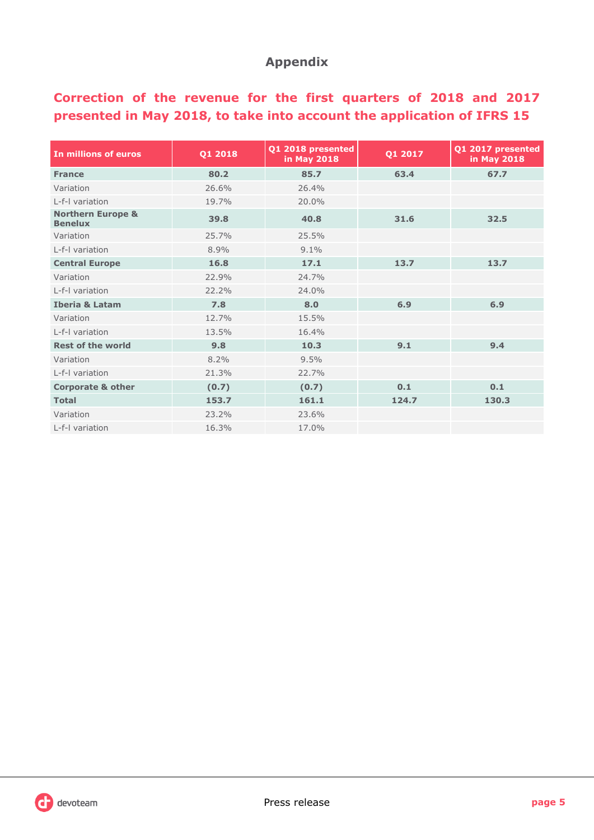# **Appendix**

# **Correction of the revenue for the first quarters of 2018 and 2017 presented in May 2018, to take into account the application of IFRS 15**

| In millions of euros                           | Q1 2018 | Q1 2018 presented<br><b>in May 2018</b> | Q1 2017 | Q1 2017 presented<br>in May 2018 |
|------------------------------------------------|---------|-----------------------------------------|---------|----------------------------------|
| <b>France</b>                                  | 80.2    | 85.7                                    | 63.4    | 67.7                             |
| Variation                                      | 26.6%   | 26.4%                                   |         |                                  |
| L-f-I variation                                | 19.7%   | 20.0%                                   |         |                                  |
| <b>Northern Europe &amp;</b><br><b>Benelux</b> | 39.8    | 40.8                                    | 31.6    | 32.5                             |
| Variation                                      | 25.7%   | 25.5%                                   |         |                                  |
| L-f-I variation                                | 8.9%    | $9.1\%$                                 |         |                                  |
| <b>Central Europe</b>                          | 16.8    | 17.1                                    | 13.7    | 13.7                             |
| Variation                                      | 22.9%   | 24.7%                                   |         |                                  |
| L-f-I variation                                | 22.2%   | 24.0%                                   |         |                                  |
| <b>Iberia &amp; Latam</b>                      | 7.8     | 8.0                                     | 6.9     | 6.9                              |
| Variation                                      | 12.7%   | 15.5%                                   |         |                                  |
| L-f-I variation                                | 13.5%   | 16.4%                                   |         |                                  |
| <b>Rest of the world</b>                       | 9.8     | 10.3                                    | 9.1     | 9.4                              |
| Variation                                      | 8.2%    | 9.5%                                    |         |                                  |
| L-f-I variation                                | 21.3%   | 22.7%                                   |         |                                  |
| <b>Corporate &amp; other</b>                   | (0.7)   | (0.7)                                   | 0.1     | 0.1                              |
| <b>Total</b>                                   | 153.7   | 161.1                                   | 124.7   | 130.3                            |
| Variation                                      | 23.2%   | 23.6%                                   |         |                                  |
| L-f-I variation                                | 16.3%   | 17.0%                                   |         |                                  |

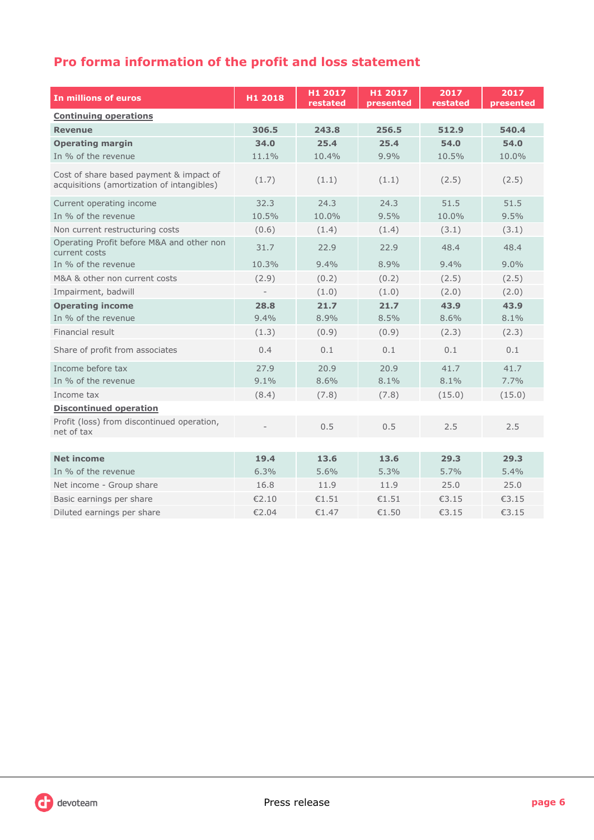# **Pro forma information of the profit and loss statement**

| In millions of euros                                                                  | H1 2018 | H1 2017<br>restated | H1 2017<br>presented | 2017<br>restated | 2017<br>presented |
|---------------------------------------------------------------------------------------|---------|---------------------|----------------------|------------------|-------------------|
| <b>Continuing operations</b>                                                          |         |                     |                      |                  |                   |
| <b>Revenue</b>                                                                        | 306.5   | 243.8               | 256.5                | 512.9            | 540.4             |
| <b>Operating margin</b>                                                               | 34.0    | 25.4                | 25.4                 | 54.0             | 54.0              |
| In % of the revenue                                                                   | 11.1%   | 10.4%               | 9.9%                 | 10.5%            | 10.0%             |
| Cost of share based payment & impact of<br>acquisitions (amortization of intangibles) | (1.7)   | (1.1)               | (1.1)                | (2.5)            | (2.5)             |
| Current operating income                                                              | 32.3    | 24.3                | 24.3                 | 51.5             | 51.5              |
| In % of the revenue                                                                   | 10.5%   | 10.0%               | 9.5%                 | 10.0%            | 9.5%              |
| Non current restructuring costs                                                       | (0.6)   | (1.4)               | (1.4)                | (3.1)            | (3.1)             |
| Operating Profit before M&A and other non<br>current costs                            | 31.7    | 22.9                | 22.9                 | 48.4             | 48.4              |
| In % of the revenue                                                                   | 10.3%   | 9.4%                | 8.9%                 | 9.4%             | 9.0%              |
| M&A & other non current costs                                                         | (2.9)   | (0.2)               | (0.2)                | (2.5)            | (2.5)             |
| Impairment, badwill                                                                   |         | (1.0)               | (1.0)                | (2.0)            | (2.0)             |
| <b>Operating income</b>                                                               | 28.8    | 21.7                | 21.7                 | 43.9             | 43.9              |
| In % of the revenue                                                                   | 9.4%    | 8.9%                | 8.5%                 | 8.6%             | 8.1%              |
| Financial result                                                                      | (1.3)   | (0.9)               | (0.9)                | (2.3)            | (2.3)             |
| Share of profit from associates                                                       | 0.4     | 0.1                 | 0.1                  | 0.1              | 0.1               |
| Income before tax                                                                     | 27.9    | 20.9                | 20.9                 | 41.7             | 41.7              |
| In % of the revenue                                                                   | 9.1%    | 8.6%                | 8.1%                 | 8.1%             | 7.7%              |
| Income tax                                                                            | (8.4)   | (7.8)               | (7.8)                | (15.0)           | (15.0)            |
| <b>Discontinued operation</b>                                                         |         |                     |                      |                  |                   |
| Profit (loss) from discontinued operation,<br>net of tax                              |         | 0.5                 | 0.5                  | 2.5              | 2.5               |
|                                                                                       |         |                     |                      |                  |                   |
| <b>Net income</b>                                                                     | 19.4    | 13.6                | 13.6                 | 29.3             | 29.3              |
| In % of the revenue                                                                   | 6.3%    | 5.6%                | 5.3%                 | 5.7%             | 5.4%              |
| Net income - Group share                                                              | 16.8    | 11.9                | 11.9                 | 25.0             | 25.0              |
| Basic earnings per share                                                              | €2.10   | €1.51               | €1.51                | €3.15            | €3.15             |
| Diluted earnings per share                                                            | €2.04   | €1.47               | €1.50                | €3.15            | €3.15             |

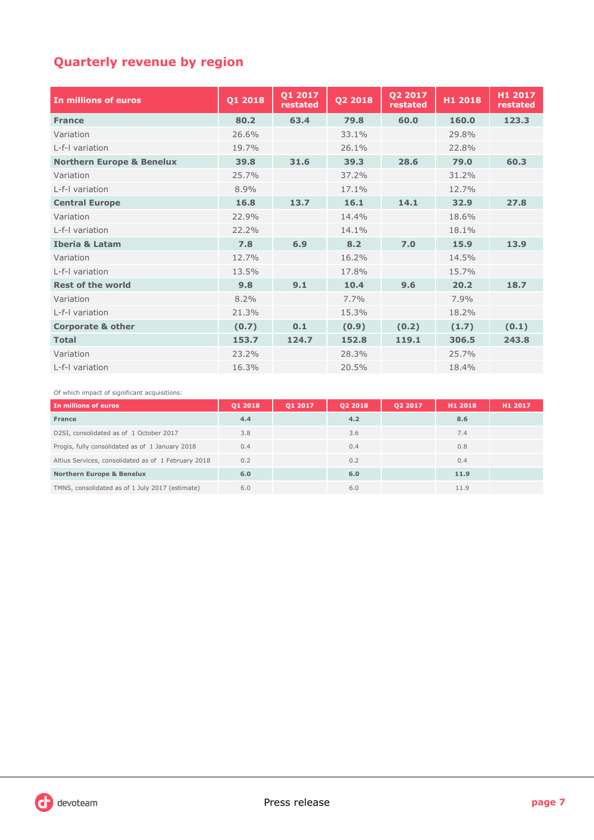# **Quarterly revenue by region**

| In millions of euros                 | Q1 2018 | Q1 2017<br>restated | Q2 2018 | Q2 2017<br>restated | H1 2018 | H1 2017<br>restated |
|--------------------------------------|---------|---------------------|---------|---------------------|---------|---------------------|
| <b>France</b>                        | 80.2    | 63.4                | 79.8    | 60.0                | 160.0   | 123.3               |
| Variation                            | 26.6%   |                     | 33.1%   |                     | 29.8%   |                     |
| L-f-I variation                      | 19.7%   |                     | 26.1%   |                     | 22.8%   |                     |
| <b>Northern Europe &amp; Benelux</b> | 39.8    | 31.6                | 39.3    | 28.6                | 79.0    | 60.3                |
| Variation                            | 25.7%   |                     | 37.2%   |                     | 31.2%   |                     |
| L-f-I variation                      | 8.9%    |                     | 17.1%   |                     | 12.7%   |                     |
| <b>Central Europe</b>                | 16.8    | 13.7                | 16.1    | 14.1                | 32.9    | 27.8                |
| Variation                            | 22.9%   |                     | 14.4%   |                     | 18.6%   |                     |
| L-f-I variation                      | 22.2%   |                     | 14.1%   |                     | 18.1%   |                     |
| <b>Iberia &amp; Latam</b>            | 7.8     | 6.9                 | 8.2     | 7.0                 | 15.9    | 13.9                |
| Variation                            | 12.7%   |                     | 16.2%   |                     | 14.5%   |                     |
| L-f-I variation                      | 13.5%   |                     | 17.8%   |                     | 15.7%   |                     |
| <b>Rest of the world</b>             | 9.8     | 9.1                 | 10.4    | 9.6                 | 20.2    | 18.7                |
| Variation                            | 8.2%    |                     | 7.7%    |                     | 7.9%    |                     |
| L-f-I variation                      | 21.3%   |                     | 15.3%   |                     | 18.2%   |                     |
| <b>Corporate &amp; other</b>         | (0.7)   | 0.1                 | (0.9)   | (0.2)               | (1.7)   | (0.1)               |
| <b>Total</b>                         | 153.7   | 124.7               | 152.8   | 119.1               | 306.5   | 243.8               |
| Variation                            | 23.2%   |                     | 28.3%   |                     | 25.7%   |                     |
| L-f-I variation                      | 16.3%   |                     | 20.5%   |                     | 18.4%   |                     |

Of which impact of significant acquisitions:

| 01 2018 | 01 2017 | 02 2018 | 02 2017 | H1 2018 | H1 2017 |
|---------|---------|---------|---------|---------|---------|
| 4.4     |         | 4.2     |         | 8.6     |         |
| 3.8     |         | 3.6     |         | 7.4     |         |
| 0.4     |         | 0.4     |         | 0.8     |         |
| 0.2     |         | 0.2     |         | 0.4     |         |
| 6.0     |         | 6.0     |         | 11.9    |         |
| 6.0     |         | 6.0     |         | 11.9    |         |
|         |         |         |         |         |         |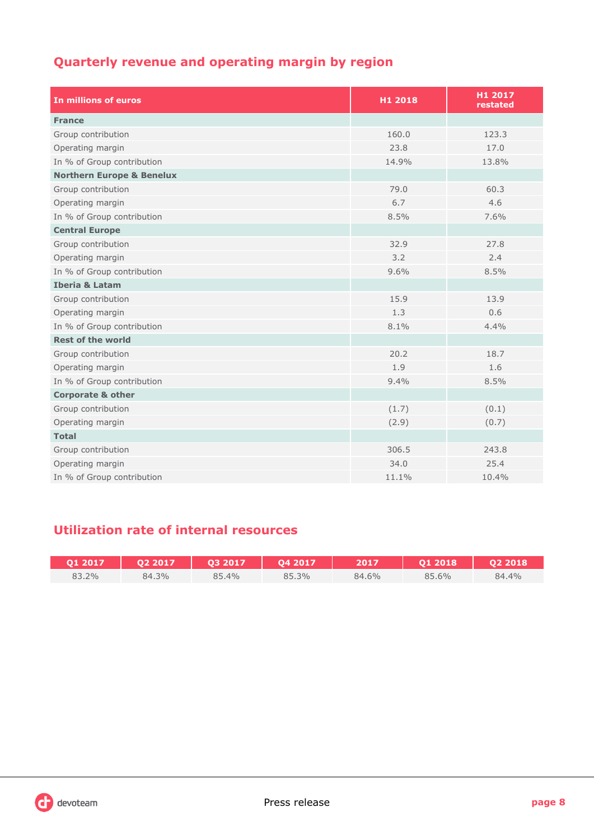# **Quarterly revenue and operating margin by region**

| In millions of euros                 | H1 2018 | H1 2017<br>restated |
|--------------------------------------|---------|---------------------|
| <b>France</b>                        |         |                     |
| Group contribution                   | 160.0   | 123.3               |
| Operating margin                     | 23.8    | 17.0                |
| In % of Group contribution           | 14.9%   | 13.8%               |
| <b>Northern Europe &amp; Benelux</b> |         |                     |
| Group contribution                   | 79.0    | 60.3                |
| Operating margin                     | 6.7     | 4.6                 |
| In % of Group contribution           | 8.5%    | 7.6%                |
| <b>Central Europe</b>                |         |                     |
| Group contribution                   | 32.9    | 27.8                |
| Operating margin                     | 3.2     | 2.4                 |
| In % of Group contribution           | 9.6%    | 8.5%                |
| <b>Iberia &amp; Latam</b>            |         |                     |
| Group contribution                   | 15.9    | 13.9                |
| Operating margin                     | 1.3     | 0.6                 |
| In % of Group contribution           | 8.1%    | 4.4%                |
| <b>Rest of the world</b>             |         |                     |
| Group contribution                   | 20.2    | 18.7                |
| Operating margin                     | 1.9     | 1.6                 |
| In % of Group contribution           | 9.4%    | 8.5%                |
| <b>Corporate &amp; other</b>         |         |                     |
| Group contribution                   | (1.7)   | (0.1)               |
| Operating margin                     | (2.9)   | (0.7)               |
| <b>Total</b>                         |         |                     |
| Group contribution                   | 306.5   | 243.8               |
| Operating margin                     | 34.0    | 25.4                |
| In % of Group contribution           | 11.1%   | 10.4%               |

# **Utilization rate of internal resources**

| 01 2017 | 02 2017 | 03 2017 | 04 2017 | 2017  | 01 2018 | 02 2018 |
|---------|---------|---------|---------|-------|---------|---------|
| 83.2%   | 84.3%   | 85.4%   | 85.3%   | 84.6% | 85.6%   | 84.4%   |

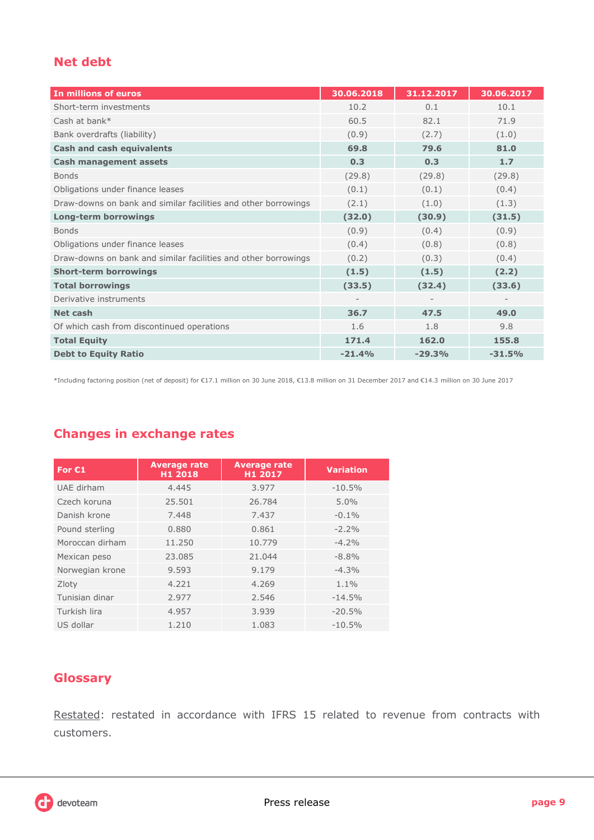## **Net debt**

| <b>In millions of euros</b>                                    | 30.06.2018 | 31.12.2017 | 30.06.2017 |
|----------------------------------------------------------------|------------|------------|------------|
| Short-term investments                                         | 10.2       | 0.1        | 10.1       |
| Cash at bank*                                                  | 60.5       | 82.1       | 71.9       |
| Bank overdrafts (liability)                                    | (0.9)      | (2.7)      | (1.0)      |
| <b>Cash and cash equivalents</b>                               | 69.8       | 79.6       | 81.0       |
| <b>Cash management assets</b>                                  | 0.3        | 0.3        | 1.7        |
| <b>Bonds</b>                                                   | (29.8)     | (29.8)     | (29.8)     |
| Obligations under finance leases                               | (0.1)      | (0.1)      | (0.4)      |
| Draw-downs on bank and similar facilities and other borrowings | (2.1)      | (1.0)      | (1.3)      |
| <b>Long-term borrowings</b>                                    | (32.0)     | (30.9)     | (31.5)     |
| <b>Bonds</b>                                                   | (0.9)      | (0.4)      | (0.9)      |
| Obligations under finance leases                               | (0.4)      | (0.8)      | (0.8)      |
| Draw-downs on bank and similar facilities and other borrowings | (0.2)      | (0.3)      | (0.4)      |
| <b>Short-term borrowings</b>                                   | (1.5)      | (1.5)      | (2.2)      |
| <b>Total borrowings</b>                                        | (33.5)     | (32.4)     | (33.6)     |
| Derivative instruments                                         |            |            |            |
| Net cash                                                       | 36.7       | 47.5       | 49.0       |
| Of which cash from discontinued operations                     | 1.6        | 1.8        | 9.8        |
| <b>Total Equity</b>                                            | 171.4      | 162.0      | 155.8      |
| <b>Debt to Equity Ratio</b>                                    | $-21.4%$   | $-29.3%$   | $-31.5%$   |

\*Including factoring position (net of deposit) for €17.1 million on 30 June 2018, €13.8 million on 31 December 2017 and €14.3 million on 30 June 2017

# **Changes in exchange rates**

| For $E1$        | <b>Average rate</b><br>H1 2018 | <b>Average rate</b><br>H1 2017 | <b>Variation</b> |
|-----------------|--------------------------------|--------------------------------|------------------|
| UAE dirham      | 4.445                          | 3.977                          | $-10.5%$         |
| Czech koruna    | 25.501                         | 26.784                         | $5.0\%$          |
| Danish krone    | 7.448                          | 7.437                          | $-0.1\%$         |
| Pound sterling  | 0.880                          | 0.861                          | $-2.2\%$         |
| Moroccan dirham | 11.250                         | 10.779                         | $-4.2\%$         |
| Mexican peso    | 23.085                         | 21.044                         | $-8.8%$          |
| Norwegian krone | 9.593                          | 9.179                          | $-4.3%$          |
| Zloty           | 4.221                          | 4.269                          | 1.1%             |
| Tunisian dinar  | 2.977                          | 2.546                          | $-14.5%$         |
| Turkish lira    | 4.957                          | 3.939                          | $-20.5%$         |
| US dollar       | 1.210                          | 1.083                          | $-10.5%$         |

## **Glossary**

Restated: restated in accordance with IFRS 15 related to revenue from contracts with customers.

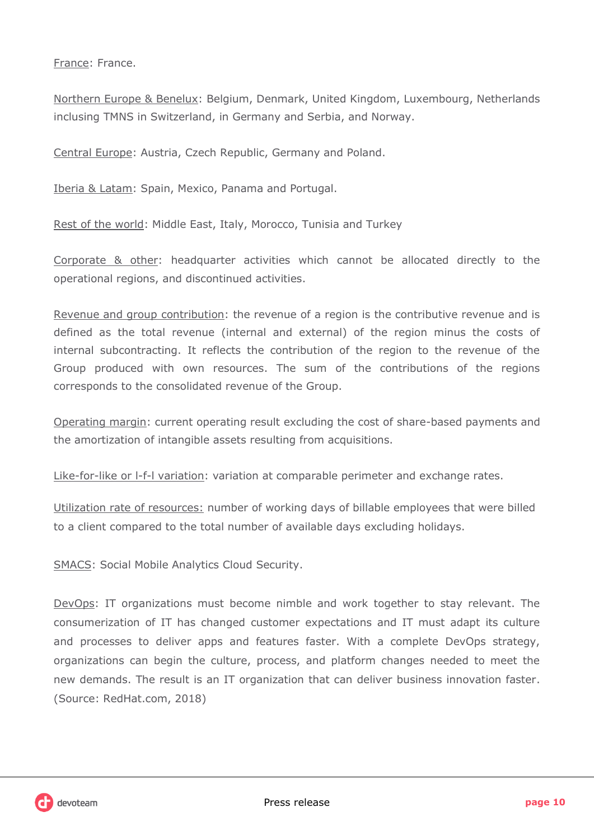France: France.

Northern Europe & Benelux: Belgium, Denmark, United Kingdom, Luxembourg, Netherlands inclusing TMNS in Switzerland, in Germany and Serbia, and Norway.

Central Europe: Austria, Czech Republic, Germany and Poland.

Iberia & Latam: Spain, Mexico, Panama and Portugal.

Rest of the world: Middle East, Italy, Morocco, Tunisia and Turkey

Corporate & other: headquarter activities which cannot be allocated directly to the operational regions, and discontinued activities.

Revenue and group contribution: the revenue of a region is the contributive revenue and is defined as the total revenue (internal and external) of the region minus the costs of internal subcontracting. It reflects the contribution of the region to the revenue of the Group produced with own resources. The sum of the contributions of the regions corresponds to the consolidated revenue of the Group.

Operating margin: current operating result excluding the cost of share-based payments and the amortization of intangible assets resulting from acquisitions.

Like-for-like or l-f-l variation: variation at comparable perimeter and exchange rates.

Utilization rate of resources: number of working days of billable employees that were billed to a client compared to the total number of available days excluding holidays.

SMACS: Social Mobile Analytics Cloud Security.

DevOps: IT organizations must become nimble and work together to stay relevant. The consumerization of IT has changed customer expectations and IT must adapt its culture and processes to deliver apps and features faster. With a complete DevOps strategy, organizations can begin the culture, process, and platform changes needed to meet the new demands. The result is an IT organization that can deliver business innovation faster. (Source: RedHat.com, 2018)